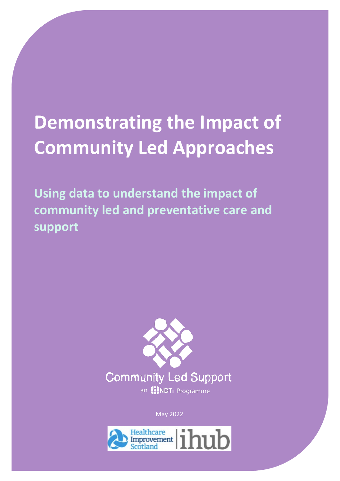# **Demonstrating the Impact of Community Led Approaches**

**Using data to understand the impact of community led and preventative care and support**



May 2022

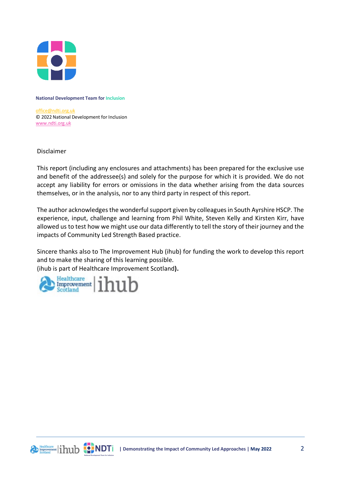

**National Development Team for Inclusion**

[office@ndti.org.uk](mailto:office@ndti.org.uk) © 2022 National Development for Inclusion [www.ndti.org.uk](http://www.ndti.org.uk/)

Disclaimer

This report (including any enclosures and attachments) has been prepared for the exclusive use and benefit of the addressee(s) and solely for the purpose for which it is provided. We do not accept any liability for errors or omissions in the data whether arising from the data sources themselves, or in the analysis, nor to any third party in respect of this report.

The author acknowledges the wonderful support given by colleagues in South Ayrshire HSCP. The experience, input, challenge and learning from Phil White, Steven Kelly and Kirsten Kirr, have allowed us to test how we might use our data differently to tell the story of their journey and the impacts of Community Led Strength Based practice.

Sincere thanks also to The Improvement Hub (ihub) for funding the work to develop this report and to make the sharing of this learning possible.

(ihub is part of Healthcare Improvement Scotland**).**

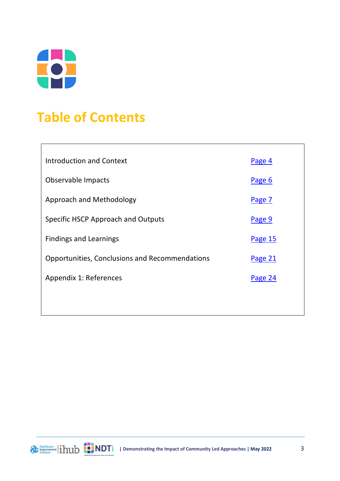

# **Table of Contents**

| <b>Introduction and Context</b>                | Page 4  |
|------------------------------------------------|---------|
| Observable Impacts                             | Page 6  |
| Approach and Methodology                       | Page 7  |
| Specific HSCP Approach and Outputs             | Page 9  |
| <b>Findings and Learnings</b>                  | Page 15 |
| Opportunities, Conclusions and Recommendations | Page 21 |
| Appendix 1: References                         | Page 24 |
|                                                |         |

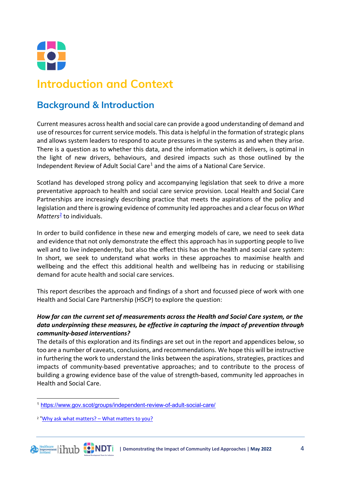

## <span id="page-3-0"></span>**Introduction and Context**

#### **Background & Introduction**

Current measures across health and social care can provide a good understanding of demand and use of resources for current service models. This data is helpful in the formation of strategic plans and allows system leaders to respond to acute pressures in the systems as and when they arise. There is a question as to whether this data, and the information which it delivers, is optimal in the light of new drivers, behaviours, and desired impacts such as those outlined by the Independent Review of Adult Social Care<sup>[1](#page-3-1)</sup> and the aims of a National Care Service.

Scotland has developed strong policy and accompanying legislation that seek to drive a more preventative approach to health and social care service provision. Local Health and Social Care Partnerships are increasingly describing practice that meets the aspirations of the policy and legislation and there is growing evidence of community led approaches and a clear focus on *What Matters*[2](#page-3-2) to individuals.

In order to build confidence in these new and emerging models of care, we need to seek data and evidence that not only demonstrate the effect this approach has in supporting people to live well and to live independently, but also the effect this has on the health and social care system: In short, we seek to understand what works in these approaches to maximise health and wellbeing and the effect this additional health and wellbeing has in reducing or stabilising demand for acute health and social care services.

This report describes the approach and findings of a short and focussed piece of work with one Health and Social Care Partnership (HSCP) to explore the question:

#### *How far can the current set of measurements across the Health and Social Care system, or the data underpinning these measures, be effective in capturing the impact of prevention through community-based interventions?*

The details of this exploration and its findings are set out in the report and appendices below, so too are a number of caveats, conclusions, and recommendations. We hope this will be instructive in furthering the work to understand the links between the aspirations, strategies, practices and impacts of community-based preventative approaches; and to contribute to the process of building a growing evidence base of the value of strength-based, community led approaches in Health and Social Care.

<span id="page-3-1"></span><sup>1</sup> <https://www.gov.scot/groups/independent-review-of-adult-social-care/>

<span id="page-3-2"></span><sup>2</sup> "[Why ask what matters? –](https://www.whatmatterstoyou.scot/why-ask/) What matters to you?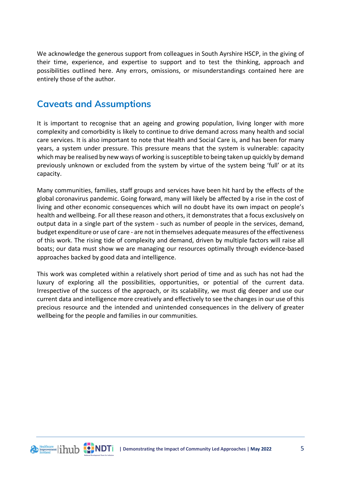We acknowledge the generous support from colleagues in South Ayrshire HSCP, in the giving of their time, experience, and expertise to support and to test the thinking, approach and possibilities outlined here. Any errors, omissions, or misunderstandings contained here are entirely those of the author.

#### **Caveats and Assumptions**

It is important to recognise that an ageing and growing population, living longer with more complexity and comorbidity is likely to continue to drive demand across many health and social care services. It is also important to note that Health and Social Care is, and has been for many years, a system under pressure. This pressure means that the system is vulnerable: capacity which may be realised by new ways of working is susceptible to being taken up quickly by demand previously unknown or excluded from the system by virtue of the system being 'full' or at its capacity.

Many communities, families, staff groups and services have been hit hard by the effects of the global coronavirus pandemic. Going forward, many will likely be affected by a rise in the cost of living and other economic consequences which will no doubt have its own impact on people's health and wellbeing. For all these reason and others, it demonstrates that a focus exclusively on output data in a single part of the system - such as number of people in the services, demand, budget expenditure or use of care - are not in themselves adequate measures of the effectiveness of this work. The rising tide of complexity and demand, driven by multiple factors will raise all boats; our data must show we are managing our resources optimally through evidence-based approaches backed by good data and intelligence.

This work was completed within a relatively short period of time and as such has not had the luxury of exploring all the possibilities, opportunities, or potential of the current data. Irrespective of the success of the approach, or its scalability, we must dig deeper and use our current data and intelligence more creatively and effectively to see the changes in our use of this precious resource and the intended and unintended consequences in the delivery of greater wellbeing for the people and families in our communities.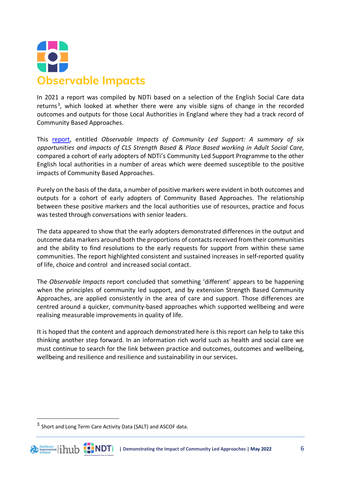

<span id="page-5-0"></span>In 2021 a report was compiled by NDTi based on a selection of the English Social Care data returns<sup>[3](#page-5-1)</sup>, which looked at whether there were any visible signs of change in the recorded outcomes and outputs for those Local Authorities in England where they had a track record of Community Based Approaches.

This [report,](https://www.ndti.org.uk/resources/publication/observable-impacts-of-community-led-support) entitled *Observable Impacts of Community Led Support: A summary of six opportunities and impacts of CLS Strength Based & Place Based working in Adult Social Care,* compared a cohort of early adopters of NDTi's Community Led Support Programme to the other English local authorities in a number of areas which were deemed susceptible to the positive impacts of Community Based Approaches.

Purely on the basis of the data, a number of positive markers were evident in both outcomes and outputs for a cohort of early adopters of Community Based Approaches. The relationship between these positive markers and the local authorities use of resources, practice and focus was tested through conversations with senior leaders.

The data appeared to show that the early adopters demonstrated differences in the output and outcome data markers around both the proportions of contacts received from their communities and the ability to find resolutions to the early requests for support from within these same communities. The report highlighted consistent and sustained increases in self-reported quality of life, choice and control and increased social contact.

The *Observable Impacts* report concluded that something 'different' appears to be happening when the principles of community led support, and by extension Strength Based Community Approaches, are applied consistently in the area of care and support. Those differences are centred around a quicker, community-based approaches which supported wellbeing and were realising measurable improvements in quality of life.

It is hoped that the content and approach demonstrated here is this report can help to take this thinking another step forward. In an information rich world such as health and social care we must continue to search for the link between practice and outcomes, outcomes and wellbeing, wellbeing and resilience and resilience and sustainability in our services.

<span id="page-5-1"></span><sup>3</sup> Short and Long Term Care Activity Data (SALT) and ASCOF data.



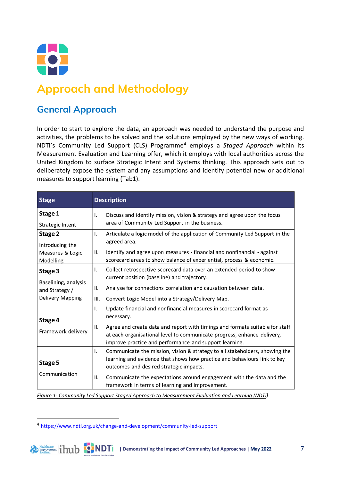

# **Approach and Methodology**

## **General Approach**

In order to start to explore the data, an approach was needed to understand the purpose and activities, the problems to be solved and the solutions employed by the new ways of working. NDTi's Community Led Support (CLS) Programme[4](#page-6-0) employs a *Staged Approach* within its Measurement Evaluation and Learning offer, which it employs with local authorities across the United Kingdom to surface Strategic Intent and Systems thinking. This approach sets out to deliberately expose the system and any assumptions and identify potential new or additional measures to support learning (Tab1).

| <b>Stage</b>                                                                 | <b>Description</b>                                                                                                                                                                                                                                                                                                                        |
|------------------------------------------------------------------------------|-------------------------------------------------------------------------------------------------------------------------------------------------------------------------------------------------------------------------------------------------------------------------------------------------------------------------------------------|
| Stage 1<br>Strategic Intent                                                  | Discuss and identify mission, vision & strategy and agree upon the focus<br>I.<br>area of Community Led Support in the business.                                                                                                                                                                                                          |
| Stage 2<br>Introducing the<br>Measures & Logic<br>Modelling                  | Articulate a logic model of the application of Community Led Support in the<br>I.<br>agreed area.<br>Identify and agree upon measures - financial and nonfinancial - against<br>Ⅱ.<br>scorecard areas to show balance of experiential, process & economic.                                                                                |
| Stage 3<br>Baselining, analysis<br>and Strategy /<br><b>Delivery Mapping</b> | Collect retrospective scorecard data over an extended period to show<br>I.<br>current position (baseline) and trajectory.<br>Analyse for connections correlation and causation between data.<br>Ш.<br>Convert Logic Model into a Strategy/Delivery Map.<br>III.                                                                           |
| Stage 4<br>Framework delivery                                                | Update financial and nonfinancial measures in scorecard format as<br>$\mathsf{L}$<br>necessary.<br>Agree and create data and report with timings and formats suitable for staff<br>Ш.<br>at each organisational level to communicate progress, enhance delivery,<br>improve practice and performance and support learning.                |
| Stage 5<br>Communication                                                     | Communicate the mission, vision & strategy to all stakeholders, showing the<br>Ι.<br>learning and evidence that shows how practice and behaviours link to key<br>outcomes and desired strategic impacts.<br>Communicate the expectations around engagement with the data and the<br>Ш.<br>framework in terms of learning and improvement. |

*Figure 1: Community Led Support Staged Approach to Measurement Evaluation and Learning (NDTi).* 

<span id="page-6-0"></span><sup>4</sup> <https://www.ndti.org.uk/change-and-development/community-led-support>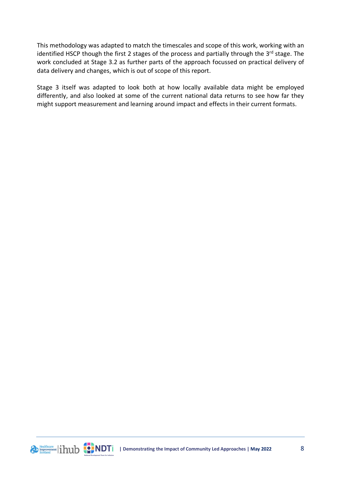This methodology was adapted to match the timescales and scope of this work, working with an identified HSCP though the first 2 stages of the process and partially through the 3<sup>rd</sup> stage. The work concluded at Stage 3.2 as further parts of the approach focussed on practical delivery of data delivery and changes, which is out of scope of this report.

Stage 3 itself was adapted to look both at how locally available data might be employed differently, and also looked at some of the current national data returns to see how far they might support measurement and learning around impact and effects in their current formats.

Lienthcare lihub **CONDT | Demonstrating the Impact of Community Led Approaches | May 2022** 8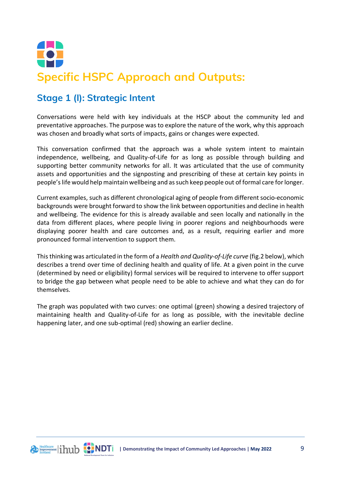

#### **Stage 1 (I): Strategic Intent**

Conversations were held with key individuals at the HSCP about the community led and preventative approaches. The purpose was to explore the nature of the work, why this approach was chosen and broadly what sorts of impacts, gains or changes were expected.

This conversation confirmed that the approach was a whole system intent to maintain independence, wellbeing, and Quality-of-Life for as long as possible through building and supporting better community networks for all. It was articulated that the use of community assets and opportunities and the signposting and prescribing of these at certain key points in people's life would help maintain wellbeing and as such keep people out of formal care for longer.

Current examples, such as different chronological aging of people from different socio-economic backgrounds were brought forward to show the link between opportunities and decline in health and wellbeing. The evidence for this is already available and seen locally and nationally in the data from different places, where people living in poorer regions and neighbourhoods were displaying poorer health and care outcomes and, as a result, requiring earlier and more pronounced formal intervention to support them.

This thinking was articulated in the form of a *Health and Quality-of-Life curve* (fig.2 below), which describes a trend over time of declining health and quality of life. At a given point in the curve (determined by need or eligibility) formal services will be required to intervene to offer support to bridge the gap between what people need to be able to achieve and what they can do for themselves.

The graph was populated with two curves: one optimal (green) showing a desired trajectory of maintaining health and Quality-of-Life for as long as possible, with the inevitable decline happening later, and one sub-optimal (red) showing an earlier decline.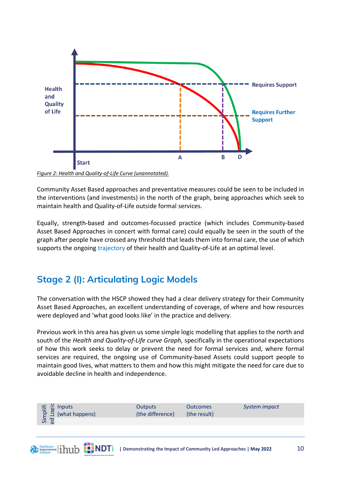

*Figure 2: Health and Quality-of-Life Curve (unannotated).*

Community Asset Based approaches and preventative measures could be seen to be included in the interventions (and investments) in the north of the graph, being approaches which seek to maintain health and Quality-of-Life outside formal services.

Equally, strength-based and outcomes-focussed practice (which includes Community-based Asset Based Approaches in concert with formal care) could equally be seen in the south of the graph after people have crossed any threshold that leads them into formal care, the use of which supports the ongoing trajectory of their health and Quality-of-Life at an optimal level.

#### **Stage 2 (I): Articulating Logic Models**

Deteathcare 11111 52 NDT

The conversation with the HSCP showed they had a clear delivery strategy for their Community Asset Based Approaches, an excellent understanding of coverage, of where and how resources were deployed and 'what good looks like' in the practice and delivery.

Previous work in this area has given us some simple logic modelling that applies to the north and south of the *Health and Quality-of-Life curve Graph,* specifically in the operational expectations of how this work seeks to delay or prevent the need for formal services and, where formal services are required, the ongoing use of Community-based Assets could support people to maintain good lives, what matters to them and how this might mitigate the need for care due to avoidable decline in health and independence.

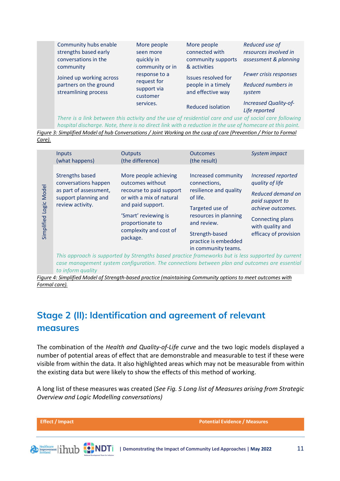| Community hubs enable                                                                                  | More people                   | More people                        | Reduced use of               |
|--------------------------------------------------------------------------------------------------------|-------------------------------|------------------------------------|------------------------------|
| strengths based early                                                                                  | seen more                     | connected with                     | resources involved in        |
| conversations in the<br>community                                                                      | quickly in<br>community or in | community supports<br>& activities | assessment & planning        |
| Joined up working across                                                                               | response to a                 | Issues resolved for                | Fewer crisis responses       |
| partners on the ground                                                                                 | request for<br>support via    | people in a timely                 | Reduced numbers in           |
| streamlining process                                                                                   | customer                      | and effective way                  | system                       |
|                                                                                                        | services.                     | <b>Reduced isolation</b>           | <b>Increased Quality-of-</b> |
|                                                                                                        |                               |                                    | Life reported                |
| There is a link between this activity and the use of residential care and use of social care following |                               |                                    |                              |

*hospital discharge. Note, there is no direct link with a reduction in the use of homecare at this point. Figure 3: Simplified Model of hub Conversations / Joint Working on the cusp of care (Prevention / Prior to Formal* 

|                                     | <b>Inputs</b><br>(what happens)                                                                    | <b>Outputs</b><br>(the difference)                                                                                                                          | <b>Outcomes</b><br>(the result)        | System impact                         |
|-------------------------------------|----------------------------------------------------------------------------------------------------|-------------------------------------------------------------------------------------------------------------------------------------------------------------|----------------------------------------|---------------------------------------|
|                                     |                                                                                                    |                                                                                                                                                             |                                        |                                       |
| <b>Model</b><br>Logic<br>Simplified | <b>Strengths based</b><br>conversations happen                                                     | More people achieving<br>outcomes without                                                                                                                   | Increased community<br>connections,    | Increased reported<br>quality of life |
|                                     | as part of assessment,<br>support planning and<br>review activity.                                 | recourse to paid support<br>or with a mix of natural<br>and paid support.<br>'Smart' reviewing is<br>proportionate to<br>complexity and cost of<br>package. | resilience and quality<br>of life.     | Reduced demand on<br>paid support to  |
|                                     |                                                                                                    |                                                                                                                                                             | Targeted use of                        | achieve outcomes.                     |
|                                     |                                                                                                    |                                                                                                                                                             | resources in planning<br>and review.   | Connecting plans<br>with quality and  |
|                                     |                                                                                                    |                                                                                                                                                             | Strength-based<br>practice is embedded | efficacy of provision                 |
|                                     |                                                                                                    |                                                                                                                                                             | in community teams.                    |                                       |
|                                     | This approach is supported by Strengths based practice frameworks but is less supported by current |                                                                                                                                                             |                                        |                                       |
|                                     | case management system configuration. The connections between plan and outcomes are essential      |                                                                                                                                                             |                                        |                                       |

*to inform quality Figure 4: Simplified Model of Strength-based practice (maintaining Community options to meet outcomes with* 

*Formal care).*

## **Stage 2 (II): Identification and agreement of relevant measures**

The combination of the *Health and Quality-of-Life curve* and the two logic models displayed a number of potential areas of effect that are demonstrable and measurable to test if these were visible from within the data. It also highlighted areas which may not be measurable from within the existing data but were likely to show the effects of this method of working.

A long list of these measures was created (*See Fig. 5 Long list of Measures arising from Strategic Overview and Logic Modelling conversations)* 

**Effect / Impact Potential Evidence / Measures| Demonstrating the Impact of Community Led Approaches | May 2022** 11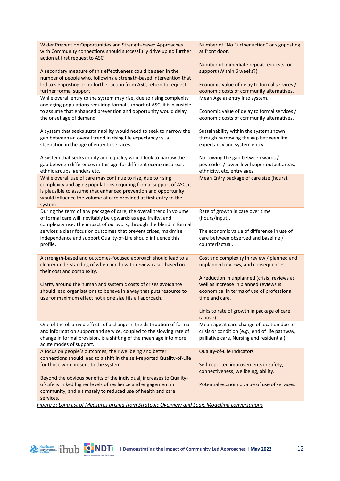| Wider Prevention Opportunities and Strength-based Approaches<br>with Community connections should successfully drive up no further<br>action at first request to ASC.                                                                                                                    | Number of "No Further action" or signposting<br>at front door.                                                                              |
|------------------------------------------------------------------------------------------------------------------------------------------------------------------------------------------------------------------------------------------------------------------------------------------|---------------------------------------------------------------------------------------------------------------------------------------------|
| A secondary measure of this effectiveness could be seen in the                                                                                                                                                                                                                           | Number of immediate repeat requests for<br>support (Within 6 weeks?)                                                                        |
| number of people who, following a strength-based intervention that<br>led to signposting or no further action from ASC, return to request<br>further formal support.                                                                                                                     | Economic value of delay to formal services /<br>economic costs of community alternatives.                                                   |
| While overall entry to the system may rise, due to rising complexity<br>and aging populations requiring formal support of ASC, it is plausible                                                                                                                                           | Mean Age at entry into system.                                                                                                              |
| to assume that enhanced prevention and opportunity would delay<br>the onset age of demand.                                                                                                                                                                                               | Economic value of delay to formal services /<br>economic costs of community alternatives.                                                   |
| A system that seeks sustainability would need to seek to narrow the<br>gap between an overall trend in rising life expectancy vs. a<br>stagnation in the age of entry to services.                                                                                                       | Sustainability within the system shown<br>through narrowing the gap between life<br>expectancy and system entry.                            |
| A system that seeks equity and equality would look to narrow the<br>gap between differences in this age for different economic areas,<br>ethnic groups, genders etc.                                                                                                                     | Narrowing the gap between wards /<br>postcodes / lower-level super output areas,<br>ethnicity, etc. entry ages.                             |
| While overall use of care may continue to rise, due to rising<br>complexity and aging populations requiring formal support of ASC, it<br>is plausible to assume that enhanced prevention and opportunity<br>would influence the volume of care provided at first entry to the<br>system. | Mean Entry package of care size (hours).                                                                                                    |
| During the term of any package of care, the overall trend in volume<br>of formal care will inevitably be upwards as age, frailty, and                                                                                                                                                    | Rate of growth in care over time<br>(hours/input).                                                                                          |
| complexity rise. The impact of our work, through the blend in formal                                                                                                                                                                                                                     |                                                                                                                                             |
| services a clear focus on outcomes that prevent crises, maximise<br>independence and support Quality-of-Life should influence this<br>profile.                                                                                                                                           | The economic value of difference in use of<br>care between observed and baseline /<br>counterfactual.                                       |
| A strength-based and outcomes-focused approach should lead to a<br>clearer understanding of when and how to review cases based on<br>their cost and complexity.                                                                                                                          | Cost and complexity in review / planned and<br>unplanned reviews, and consequences.                                                         |
|                                                                                                                                                                                                                                                                                          | A reduction in unplanned (crisis) reviews as                                                                                                |
| Clarity around the human and systemic costs of crises avoidance<br>should lead organisations to behave in a way that puts resource to<br>use for maximum effect not a one size fits all approach.                                                                                        | well as increase in planned reviews is<br>economical in terms of use of professional<br>time and care.                                      |
|                                                                                                                                                                                                                                                                                          | Links to rate of growth in package of care<br>(above).                                                                                      |
| One of the observed effects of a change in the distribution of formal<br>and information support and service, coupled to the slowing rate of<br>change in formal provision, is a shifting of the mean age into more<br>acute modes of support.                                           | Mean age at care change of location due to<br>crisis or condition (e.g., end of life pathway,<br>palliative care, Nursing and residential). |
| A focus on people's outcomes, their wellbeing and better                                                                                                                                                                                                                                 | Quality-of-Life indicators                                                                                                                  |
| connections should lead to a shift in the self-reported Quality-of-Life<br>for those who present to the system.                                                                                                                                                                          | Self-reported improvements in safety,<br>connectiveness, wellbeing, ability.                                                                |
| Beyond the obvious benefits of the individual, increases to Quality-<br>of-Life is linked higher levels of resilience and engagement in<br>community, and ultimately to reduced use of health and care                                                                                   | Potential economic value of use of services.                                                                                                |
| services.<br>Figure 5: Long list of Measures arising from Strategic Queryiew and Logic Modelling conversations                                                                                                                                                                           |                                                                                                                                             |

*Figure 5: Long list of Measures arising from Strategic Overview and Logic Modelling conversations*



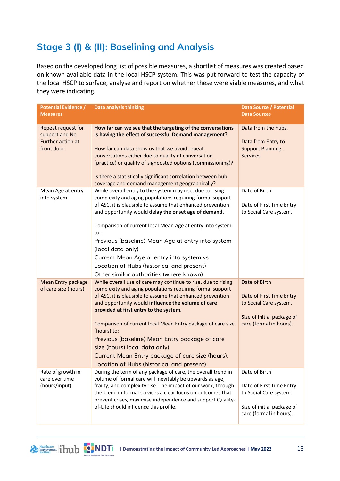## **Stage 3 (I) & (II): Baselining and Analysis**

Based on the developed long list of possible measures, a shortlist of measures was created based on known available data in the local HSCP system. This was put forward to test the capacity of the local HSCP to surface, analyse and report on whether these were viable measures, and what they were indicating.

| <b>Potential Evidence /</b><br><b>Measures</b>                           | <b>Data analysis thinking</b>                                                                                                                                                                                                                                                                                                                                                                                                                                                                                                                               | <b>Data Source / Potential</b><br><b>Data Sources</b>                                                                        |
|--------------------------------------------------------------------------|-------------------------------------------------------------------------------------------------------------------------------------------------------------------------------------------------------------------------------------------------------------------------------------------------------------------------------------------------------------------------------------------------------------------------------------------------------------------------------------------------------------------------------------------------------------|------------------------------------------------------------------------------------------------------------------------------|
| Repeat request for<br>support and No<br>Further action at<br>front door. | How far can we see that the targeting of the conversations<br>is having the effect of successful Demand management?<br>How far can data show us that we avoid repeat<br>conversations either due to quality of conversation<br>(practice) or quality of signposted options (commissioning)?<br>Is there a statistically significant correlation between hub<br>coverage and demand management geographically?                                                                                                                                               | Data from the hubs.<br>Data from Entry to<br>Support Planning.<br>Services.                                                  |
| Mean Age at entry<br>into system.                                        | While overall entry to the system may rise, due to rising<br>complexity and aging populations requiring formal support<br>of ASC, it is plausible to assume that enhanced prevention<br>and opportunity would delay the onset age of demand.<br>Comparison of current local Mean Age at entry into system<br>to:<br>Previous (baseline) Mean Age at entry into system<br>(local data only)<br>Current Mean Age at entry into system vs.<br>Location of Hubs (historical and present)<br>Other similar authorities (where known).                            | Date of Birth<br>Date of First Time Entry<br>to Social Care system.                                                          |
| <b>Mean Entry package</b><br>of care size (hours).                       | While overall use of care may continue to rise, due to rising<br>complexity and aging populations requiring formal support<br>of ASC, it is plausible to assume that enhanced prevention<br>and opportunity would influence the volume of care<br>provided at first entry to the system.<br>Comparison of current local Mean Entry package of care size<br>(hours) to:<br>Previous (baseline) Mean Entry package of care<br>size (hours) local data only)<br>Current Mean Entry package of care size (hours).<br>Location of Hubs (historical and present). | Date of Birth<br>Date of First Time Entry<br>to Social Care system.<br>Size of initial package of<br>care (formal in hours). |
| Rate of growth in<br>care over time<br>(hours/input).                    | During the term of any package of care, the overall trend in<br>volume of formal care will inevitably be upwards as age,<br>frailty, and complexity rise. The impact of our work, through<br>the blend in formal services a clear focus on outcomes that<br>prevent crises, maximise independence and support Quality-<br>of-Life should influence this profile.                                                                                                                                                                                            | Date of Birth<br>Date of First Time Entry<br>to Social Care system.<br>Size of initial package of<br>care (formal in hours). |

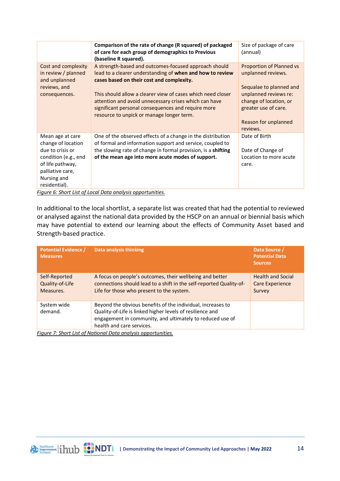|                                                                                                                                                            | Comparison of the rate of change (R squared) of packaged<br>of care for each group of demographics to Previous<br>(baseline R squared).                                                                                                        | Size of package of care<br>(annual)                                                                         |
|------------------------------------------------------------------------------------------------------------------------------------------------------------|------------------------------------------------------------------------------------------------------------------------------------------------------------------------------------------------------------------------------------------------|-------------------------------------------------------------------------------------------------------------|
| Cost and complexity<br>in review / planned<br>and unplanned<br>reviews, and                                                                                | A strength-based and outcomes-focused approach should<br>lead to a clearer understanding of when and how to review<br>cases based on their cost and complexity.                                                                                | <b>Proportion of Planned vs</b><br>unplanned reviews.<br>Sequalae to planned and                            |
| consequences.                                                                                                                                              | This should allow a clearer view of cases which need closer<br>attention and avoid unnecessary crises which can have<br>significant personal consequences and require more<br>resource to unpick or manage longer term.                        | unplanned reviews re:<br>change of location, or<br>greater use of care.<br>Reason for unplanned<br>reviews. |
| Mean age at care<br>change of location<br>due to crisis or<br>condition (e.g., end<br>of life pathway,<br>palliative care,<br>Nursing and<br>residential). | One of the observed effects of a change in the distribution<br>of formal and information support and service, coupled to<br>the slowing rate of change in formal provision, is a shifting<br>of the mean age into more acute modes of support. | Date of Birth<br>Date of Change of<br>Location to more acute<br>care.                                       |
|                                                                                                                                                            | Figure 6: Short List of Local Data analysis opportunities                                                                                                                                                                                      |                                                                                                             |

*Figure 6: Short List of Local Data analysis opportunities.* 

In additional to the local shortlist, a separate list was created that had the potential to reviewed or analysed against the national data provided by the HSCP on an annual or biennial basis which may have potential to extend our learning about the effects of Community Asset based and Strength-based practice.

| <b>Potential Evidence /</b><br><b>Measures</b> | <b>Data analysis thinking</b>                                                                                                                                                                                      | Data Source /<br><b>Potential Data</b><br><b>Sources</b> |
|------------------------------------------------|--------------------------------------------------------------------------------------------------------------------------------------------------------------------------------------------------------------------|----------------------------------------------------------|
| Self-Reported<br>Quality-of-Life<br>Measures.  | A focus on people's outcomes, their wellbeing and better<br>connections should lead to a shift in the self-reported Quality-of-<br>Life for those who present to the system.                                       | <b>Health and Social</b><br>Care Experience<br>Survey    |
| System wide<br>demand.                         | Beyond the obvious benefits of the individual, increases to<br>Quality-of-Life is linked higher levels of resilience and<br>engagement in community, and ultimately to reduced use of<br>health and care services. |                                                          |

*Figure 7: Short List of National Data analysis opportunities.*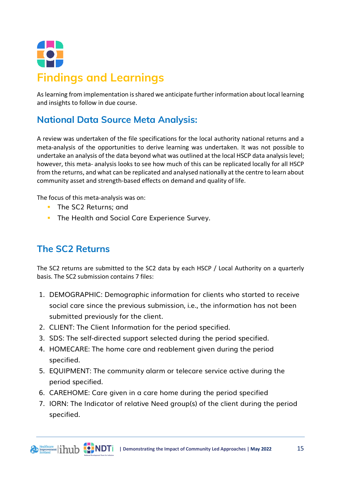<span id="page-14-0"></span>

As learning from implementation is shared we anticipate further information about local learning and insights to follow in due course.

## **National Data Source Meta Analysis:**

A review was undertaken of the file specifications for the local authority national returns and a meta-analysis of the opportunities to derive learning was undertaken. It was not possible to undertake an analysis of the data beyond what was outlined at the local HSCP data analysis level; however, this meta- analysis looks to see how much of this can be replicated locally for all HSCP from the returns, and what can be replicated and analysed nationally at the centre to learn about community asset and strength-based effects on demand and quality of life.

The focus of this meta-analysis was on:

- **The SC2 Returns: and**
- **The Health and Social Care Experience Survey.**

#### **The SC2 Returns**

The SC2 returns are submitted to the SC2 data by each HSCP / Local Authority on a quarterly basis. The SC2 submission contains 7 files:

- 1. DEMOGRAPHIC: Demographic information for clients who started to receive social care since the previous submission, i.e., the information has not been submitted previously for the client.
- 2. CLIENT: The Client Information for the period specified.
- 3. SDS: The self-directed support selected during the period specified.
- 4. HOMECARE: The home care and reablement given during the period specified.
- 5. EQUIPMENT: The community alarm or telecare service active during the period specified.
- 6. CAREHOME: Care given in a care home during the period specified
- 7. IORN: The Indicator of relative Need group(s) of the client during the period specified.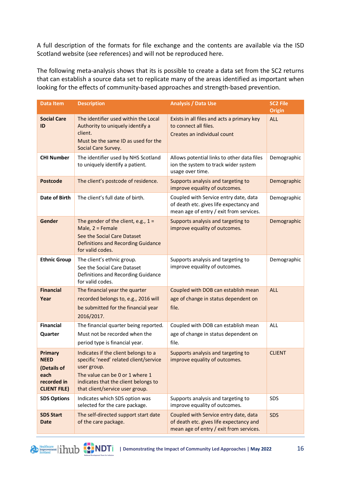A full description of the formats for file exchange and the contents are available via the ISD Scotland website (see references) and will not be reproduced here.

The following meta-analysis shows that its is possible to create a data set from the SC2 returns that can establish a source data set to replicate many of the areas identified as important when looking for the effects of community-based approaches and strength-based prevention.

| <b>Data Item</b>                                                                    | <b>Description</b>                                                                                                                                                                                          | <b>Analysis / Data Use</b>                                                                                                  | <b>SC2 File</b><br><b>Origin</b> |
|-------------------------------------------------------------------------------------|-------------------------------------------------------------------------------------------------------------------------------------------------------------------------------------------------------------|-----------------------------------------------------------------------------------------------------------------------------|----------------------------------|
| <b>Social Care</b><br>ID                                                            | The identifier used within the Local<br>Authority to uniquely identify a<br>client.<br>Must be the same ID as used for the<br>Social Care Survey.                                                           | Exists in all files and acts a primary key<br>to connect all files.<br>Creates an individual count                          | <b>ALL</b>                       |
| <b>CHI Number</b>                                                                   | The identifier used by NHS Scotland<br>to uniquely identify a patient.                                                                                                                                      | Allows potential links to other data files<br>ion the system to track wider system<br>usage over time.                      | Demographic                      |
| <b>Postcode</b>                                                                     | The client's postcode of residence.                                                                                                                                                                         | Supports analysis and targeting to<br>improve equality of outcomes.                                                         | Demographic                      |
| <b>Date of Birth</b>                                                                | The client's full date of birth.                                                                                                                                                                            | Coupled with Service entry date, data<br>of death etc. gives life expectancy and<br>mean age of entry / exit from services. | Demographic                      |
| Gender                                                                              | The gender of the client, e.g., $1 =$<br>Male, 2 = Female<br>See the Social Care Dataset<br>Definitions and Recording Guidance<br>for valid codes.                                                          | Supports analysis and targeting to<br>improve equality of outcomes.                                                         | Demographic                      |
| <b>Ethnic Group</b>                                                                 | The client's ethnic group.<br>See the Social Care Dataset<br>Definitions and Recording Guidance<br>for valid codes.                                                                                         | Supports analysis and targeting to<br>improve equality of outcomes.                                                         | Demographic                      |
| <b>Financial</b><br>Year                                                            | The financial year the quarter<br>recorded belongs to, e.g., 2016 will<br>be submitted for the financial year<br>2016/2017.                                                                                 | Coupled with DOB can establish mean<br>age of change in status dependent on<br>file.                                        | <b>ALL</b>                       |
| <b>Financial</b><br>Quarter                                                         | The financial quarter being reported.<br>Must not be recorded when the<br>period type is financial year.                                                                                                    | Coupled with DOB can establish mean<br>age of change in status dependent on<br>file.                                        | <b>ALL</b>                       |
| Primary<br><b>NEED</b><br>(Details of<br>each<br>recorded in<br><b>CLIENT FILE)</b> | Indicates if the client belongs to a<br>specific 'need' related client/service<br>user group.<br>The value can be 0 or 1 where 1<br>indicates that the client belongs to<br>that client/service user group. | Supports analysis and targeting to<br>improve equality of outcomes.                                                         | <b>CLIENT</b>                    |
| <b>SDS Options</b>                                                                  | Indicates which SDS option was<br>selected for the care package.                                                                                                                                            | Supports analysis and targeting to<br>improve equality of outcomes.                                                         | SDS                              |
| <b>SDS Start</b><br><b>Date</b>                                                     | The self-directed support start date<br>of the care package.                                                                                                                                                | Coupled with Service entry date, data<br>of death etc. gives life expectancy and<br>mean age of entry / exit from services. | <b>SDS</b>                       |

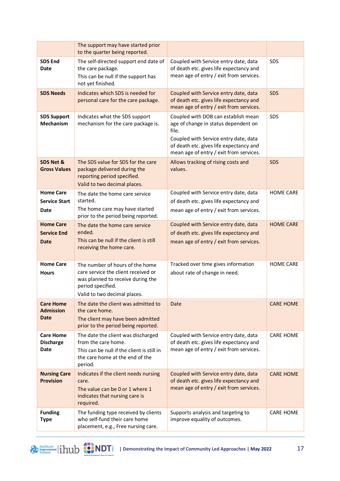|                                                       | The support may have started prior<br>to the quarter being reported.                                                                                             |                                                                                                                                                                                                                     |                  |
|-------------------------------------------------------|------------------------------------------------------------------------------------------------------------------------------------------------------------------|---------------------------------------------------------------------------------------------------------------------------------------------------------------------------------------------------------------------|------------------|
| <b>SDS End</b><br><b>Date</b>                         | The self-directed support end date of<br>the care package.<br>This can be null if the support has<br>not yet finished.                                           | Coupled with Service entry date, data<br>of death etc. gives life expectancy and<br>mean age of entry / exit from services.                                                                                         | SDS              |
| <b>SDS Needs</b>                                      | Indicates which SDS is needed for<br>personal care for the care package.                                                                                         | Coupled with Service entry date, data<br>of death etc. gives life expectancy and<br>mean age of entry / exit from services.                                                                                         | SDS              |
| <b>SDS Support</b><br><b>Mechanism</b>                | Indicates what the SDS support<br>mechanism for the care package is.                                                                                             | Coupled with DOB can establish mean<br>age of change in status dependent on<br>file.<br>Coupled with Service entry date, data<br>of death etc. gives life expectancy and<br>mean age of entry / exit from services. | SDS              |
| SDS Net &<br><b>Gross Values</b>                      | The SDS value for SDS for the care<br>package delivered during the<br>reporting period specified.<br>Valid to two decimal places.                                | Allows tracking of rising costs and<br>values.                                                                                                                                                                      | SDS              |
| <b>Home Care</b><br><b>Service Start</b><br>Date      | The date the home care service<br>started.<br>The home care may have started<br>prior to the period being reported.                                              | Coupled with Service entry date, data<br>of death etc. gives life expectancy and<br>mean age of entry / exit from services.                                                                                         | <b>HOME CARE</b> |
| <b>Home Care</b><br><b>Service End</b><br><b>Date</b> | The date the home care service<br>ended.<br>This can be null if the client is still<br>receiving the home care.                                                  | Coupled with Service entry date, data<br>of death etc. gives life expectancy and<br>mean age of entry / exit from services.                                                                                         | <b>HOME CARE</b> |
| <b>Home Care</b><br><b>Hours</b>                      | The number of hours of the home<br>care service the client received or<br>was planned to receive during the<br>period specified.<br>Valid to two decimal places. | Tracked over time gives information<br>about rate of change in need.                                                                                                                                                | <b>HOME CARE</b> |
| <b>Care Home</b><br><b>Admission</b><br><b>Date</b>   | The date the client was admitted to<br>the care home.<br>The client may have been admitted<br>prior to the period being reported.                                | Date                                                                                                                                                                                                                | <b>CARE HOME</b> |
| <b>Care Home</b><br><b>Discharge</b><br><b>Date</b>   | The date the client was discharged<br>from the care home.<br>This can be null if the client is still in<br>the care home at the end of the<br>period.            | Coupled with Service entry date, data<br>of death etc. gives life expectancy and<br>mean age of entry / exit from services.                                                                                         | <b>CARE HOME</b> |
| <b>Nursing Care</b><br><b>Provision</b>               | Indicates if the client needs nursing<br>care.<br>The value can be 0 or 1 where 1<br>indicates that nursing care is<br>required.                                 | Coupled with Service entry date, data<br>of death etc. gives life expectancy and<br>mean age of entry / exit from services.                                                                                         | <b>CARE HOME</b> |
| <b>Funding</b><br><b>Type</b>                         | The funding type received by clients<br>who self-fund their care home<br>placement, e.g., Free nursing care.                                                     | Supports analysis and targeting to<br>improve equality of outcomes.                                                                                                                                                 | <b>CARE HOME</b> |

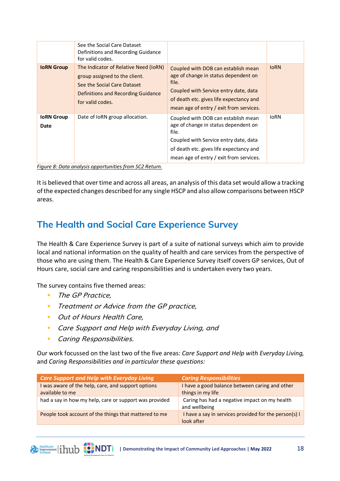|                           | See the Social Care Dataset<br>Definitions and Recording Guidance<br>for valid codes.                                                                           |                                                                                                                                                                                                                     |             |
|---------------------------|-----------------------------------------------------------------------------------------------------------------------------------------------------------------|---------------------------------------------------------------------------------------------------------------------------------------------------------------------------------------------------------------------|-------------|
| <b>IoRN Group</b>         | The Indicator of Relative Need (IoRN)<br>group assigned to the client.<br>See the Social Care Dataset<br>Definitions and Recording Guidance<br>for valid codes. | Coupled with DOB can establish mean<br>age of change in status dependent on<br>file.<br>Coupled with Service entry date, data<br>of death etc. gives life expectancy and<br>mean age of entry / exit from services. | <b>IORN</b> |
| <b>IoRN</b> Group<br>Date | Date of IoRN group allocation.                                                                                                                                  | Coupled with DOB can establish mean<br>age of change in status dependent on<br>file.<br>Coupled with Service entry date, data<br>of death etc. gives life expectancy and<br>mean age of entry / exit from services. | <b>IORN</b> |

*Figure 8: Data analysis opportunities from SC2 Return.*

It is believed that over time and across all areas, an analysis of this data set would allow a tracking of the expected changes described for any single HSCP and also allow comparisons between HSCP areas.

#### **The Health and Social Care Experience Survey**

The Health & Care Experience Survey is part of a suite of national surveys which aim to provide local and national information on the quality of health and care services from the perspective of those who are using them. The Health & Care Experience Survey itself covers GP services, Out of Hours care, social care and caring responsibilities and is undertaken every two years.

The survey contains five themed areas:

■ The GP Practice,

A Healthcare in hub **C. NDT** 

- **Treatment or Advice from the GP practice,**
- **Out of Hours Health Care,**
- **Care Support and Help with Everyday Living, and**
- **Caring Responsibilities.**

Our work focussed on the last two of the five areas: *Care Support and Help with Everyday Living,*  and *Caring Responsibilities and in particular these questions:*

| <b>Care Support and Help with Everyday Living</b>                     | <b>Caring Responsibilities</b>                                      |
|-----------------------------------------------------------------------|---------------------------------------------------------------------|
| I was aware of the help, care, and support options<br>available to me | I have a good balance between caring and other<br>things in my life |
| had a say in how my help, care or support was provided                | Caring has had a negative impact on my health<br>and wellbeing      |
| People took account of the things that mattered to me                 | I have a say in services provided for the person(s) I<br>look after |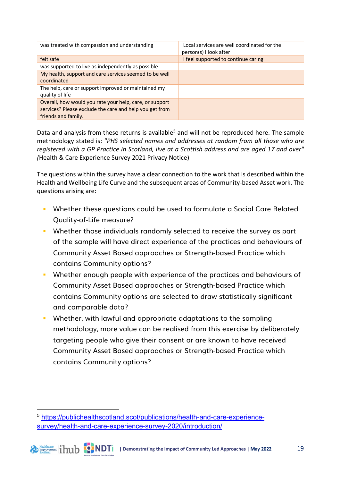| was treated with compassion and understanding                                                                                             | Local services are well coordinated for the<br>person(s) I look after |
|-------------------------------------------------------------------------------------------------------------------------------------------|-----------------------------------------------------------------------|
| felt safe                                                                                                                                 | I feel supported to continue caring                                   |
| was supported to live as independently as possible                                                                                        |                                                                       |
| My health, support and care services seemed to be well<br>coordinated                                                                     |                                                                       |
| The help, care or support improved or maintained my<br>quality of life                                                                    |                                                                       |
| Overall, how would you rate your help, care, or support<br>services? Please exclude the care and help you get from<br>friends and family. |                                                                       |

Data and analysis from these returns is available<sup>[5](#page-18-0)</sup> and will not be reproduced here. The sample methodology stated is: *"PHS selected names and addresses at random from all those who are registered with a GP Practice in Scotland, live at a Scottish address and are aged 17 and over" (*Health & Care Experience Survey 2021 Privacy Notice)

The questions within the survey have a clear connection to the work that is described within the Health and Wellbeing Life Curve and the subsequent areas of Community-based Asset work. The questions arising are:

- **Whether these questions could be used to formulate a Social Care Related** Quality-of-Life measure?
- **Whether those individuals randomly selected to receive the survey as part** of the sample will have direct experience of the practices and behaviours of Community Asset Based approaches or Strength-based Practice which contains Community options?
- **Whether enough people with experience of the practices and behaviours of** Community Asset Based approaches or Strength-based Practice which contains Community options are selected to draw statistically significant and comparable data?
- **Whether, with lawful and appropriate adaptations to the sampling** methodology, more value can be realised from this exercise by deliberately targeting people who give their consent or are known to have received Community Asset Based approaches or Strength-based Practice which contains Community options?

<span id="page-18-0"></span><sup>5</sup> [https://publichealthscotland.scot/publications/health-and-care-experience](https://publichealthscotland.scot/publications/health-and-care-experience-survey/health-and-care-experience-survey-2020/introduction/)[survey/health-and-care-experience-survey-2020/introduction/](https://publichealthscotland.scot/publications/health-and-care-experience-survey/health-and-care-experience-survey-2020/introduction/)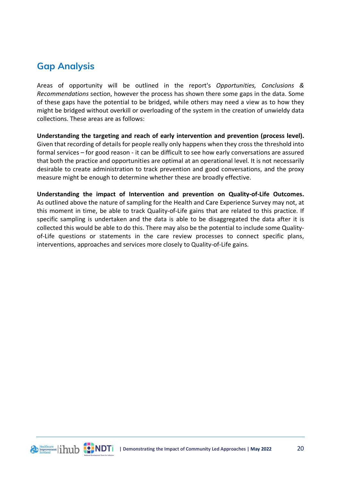#### **Gap Analysis**

Areas of opportunity will be outlined in the report's *Opportunities, Conclusions & Recommendations* section, however the process has shown there some gaps in the data. Some of these gaps have the potential to be bridged, while others may need a view as to how they might be bridged without overkill or overloading of the system in the creation of unwieldy data collections. These areas are as follows:

**Understanding the targeting and reach of early intervention and prevention (process level).** Given that recording of details for people really only happens when they cross the threshold into formal services – for good reason - it can be difficult to see how early conversations are assured that both the practice and opportunities are optimal at an operational level. It is not necessarily desirable to create administration to track prevention and good conversations, and the proxy measure might be enough to determine whether these are broadly effective.

**Understanding the impact of Intervention and prevention on Quality-of-Life Outcomes.** As outlined above the nature of sampling for the Health and Care Experience Survey may not, at this moment in time, be able to track Quality-of-Life gains that are related to this practice. If specific sampling is undertaken and the data is able to be disaggregated the data after it is collected this would be able to do this. There may also be the potential to include some Qualityof-Life questions or statements in the care review processes to connect specific plans, interventions, approaches and services more closely to Quality-of-Life gains.

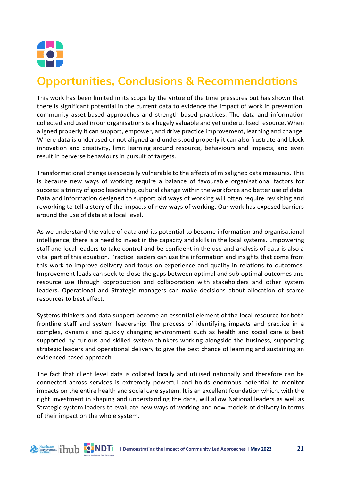

# <span id="page-20-0"></span>**Opportunities, Conclusions & Recommendations**

This work has been limited in its scope by the virtue of the time pressures but has shown that there is significant potential in the current data to evidence the impact of work in prevention, community asset-based approaches and strength-based practices. The data and information collected and used in our organisations is a hugely valuable and yet underutilised resource. When aligned properly it can support, empower, and drive practice improvement, learning and change. Where data is underused or not aligned and understood properly it can also frustrate and block innovation and creativity, limit learning around resource, behaviours and impacts, and even result in perverse behaviours in pursuit of targets.

Transformational change is especially vulnerable to the effects of misaligned data measures. This is because new ways of working require a balance of favourable organisational factors for success: a trinity of good leadership, cultural change within the workforce and better use of data. Data and information designed to support old ways of working will often require revisiting and reworking to tell a story of the impacts of new ways of working. Our work has exposed barriers around the use of data at a local level.

As we understand the value of data and its potential to become information and organisational intelligence, there is a need to invest in the capacity and skills in the local systems. Empowering staff and local leaders to take control and be confident in the use and analysis of data is also a vital part of this equation. Practice leaders can use the information and insights that come from this work to improve delivery and focus on experience and quality in relations to outcomes. Improvement leads can seek to close the gaps between optimal and sub-optimal outcomes and resource use through coproduction and collaboration with stakeholders and other system leaders. Operational and Strategic managers can make decisions about allocation of scarce resources to best effect.

Systems thinkers and data support become an essential element of the local resource for both frontline staff and system leadership: The process of identifying impacts and practice in a complex, dynamic and quickly changing environment such as health and social care is best supported by curious and skilled system thinkers working alongside the business, supporting strategic leaders and operational delivery to give the best chance of learning and sustaining an evidenced based approach.

The fact that client level data is collated locally and utilised nationally and therefore can be connected across services is extremely powerful and holds enormous potential to monitor impacts on the entire health and social care system. It is an excellent foundation which, with the right investment in shaping and understanding the data, will allow National leaders as well as Strategic system leaders to evaluate new ways of working and new models of delivery in terms of their impact on the whole system.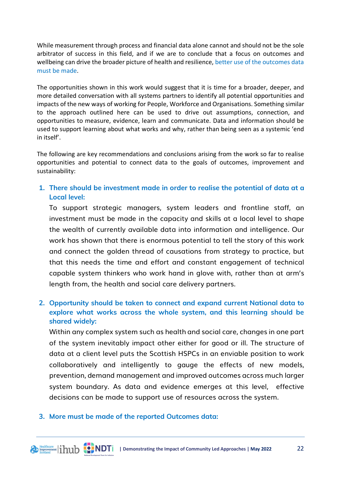While measurement through process and financial data alone cannot and should not be the sole arbitrator of success in this field, and if we are to conclude that a focus on outcomes and wellbeing can drive the broader picture of health and resilience, better use of the outcomes data must be made.

The opportunities shown in this work would suggest that it is time for a broader, deeper, and more detailed conversation with all systems partners to identify all potential opportunities and impacts of the new ways of working for People, Workforce and Organisations. Something similar to the approach outlined here can be used to drive out assumptions, connection, and opportunities to measure, evidence, learn and communicate. Data and information should be used to support learning about what works and why, rather than being seen as a systemic 'end in itself'.

The following are key recommendations and conclusions arising from the work so far to realise opportunities and potential to connect data to the goals of outcomes, improvement and sustainability:

**1. There should be investment made in order to realise the potential of data at a Local level:** 

To support strategic managers, system leaders and frontline staff, an investment must be made in the capacity and skills at a local level to shape the wealth of currently available data into information and intelligence. Our work has shown that there is enormous potential to tell the story of this work and connect the golden thread of causations from strategy to practice, but that this needs the time and effort and constant engagement of technical capable system thinkers who work hand in glove with, rather than at arm's length from, the health and social care delivery partners.

#### **2. Opportunity should be taken to connect and expand current National data to explore what works across the whole system, and this learning should be shared widely:**

Within any complex system such as health and social care, changes in one part of the system inevitably impact other either for good or ill. The structure of data at a client level puts the Scottish HSPCs in an enviable position to work collaboratively and intelligently to gauge the effects of new models, prevention, demand management and improved outcomes across much larger system boundary. As data and evidence emerges at this level, effective decisions can be made to support use of resources across the system.

#### **3. More must be made of the reported Outcomes data:**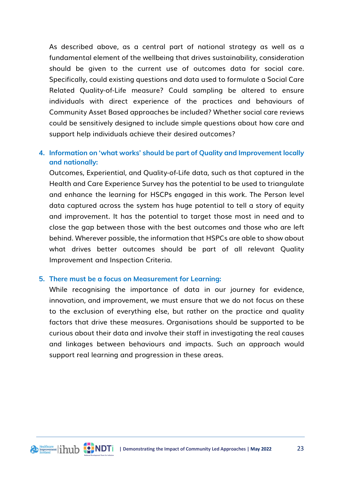As described above, as a central part of national strategy as well as a fundamental element of the wellbeing that drives sustainability, consideration should be given to the current use of outcomes data for social care. Specifically, could existing questions and data used to formulate a Social Care Related Quality-of-Life measure? Could sampling be altered to ensure individuals with direct experience of the practices and behaviours of Community Asset Based approaches be included? Whether social care reviews could be sensitively designed to include simple questions about how care and support help individuals achieve their desired outcomes?

#### **4. Information on 'what works' should be part of Quality and Improvement locally and nationally:**

Outcomes, Experiential, and Quality-of-Life data, such as that captured in the Health and Care Experience Survey has the potential to be used to triangulate and enhance the learning for HSCPs engaged in this work. The Person level data captured across the system has huge potential to tell a story of equity and improvement. It has the potential to target those most in need and to close the gap between those with the best outcomes and those who are left behind. Wherever possible, the information that HSPCs are able to show about what drives better outcomes should be part of all relevant Quality Improvement and Inspection Criteria.

#### **5. There must be a focus on Measurement for Learning:**

While recognising the importance of data in our journey for evidence, innovation, and improvement, we must ensure that we do not focus on these to the exclusion of everything else, but rather on the practice and quality factors that drive these measures. Organisations should be supported to be curious about their data and involve their staff in investigating the real causes and linkages between behaviours and impacts. Such an approach would support real learning and progression in these areas.